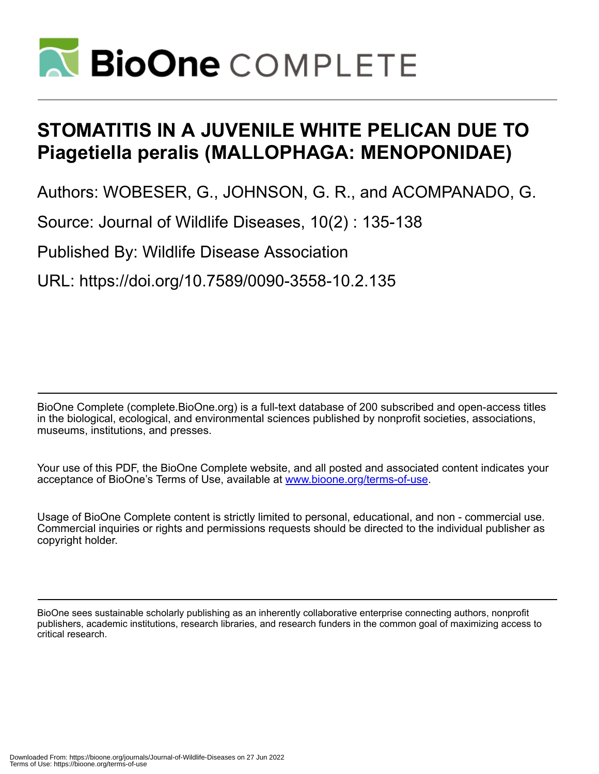

# **STOMATITIS IN A JUVENILE WHITE PELICAN DUE TO Piagetiella peralis (MALLOPHAGA: MENOPONIDAE)**

Authors: WOBESER, G., JOHNSON, G. R., and ACOMPANADO, G.

Source: Journal of Wildlife Diseases, 10(2) : 135-138

Published By: Wildlife Disease Association

URL: https://doi.org/10.7589/0090-3558-10.2.135

BioOne Complete (complete.BioOne.org) is a full-text database of 200 subscribed and open-access titles in the biological, ecological, and environmental sciences published by nonprofit societies, associations, museums, institutions, and presses.

Your use of this PDF, the BioOne Complete website, and all posted and associated content indicates your acceptance of BioOne's Terms of Use, available at www.bioone.org/terms-of-use.

Usage of BioOne Complete content is strictly limited to personal, educational, and non - commercial use. Commercial inquiries or rights and permissions requests should be directed to the individual publisher as copyright holder.

BioOne sees sustainable scholarly publishing as an inherently collaborative enterprise connecting authors, nonprofit publishers, academic institutions, research libraries, and research funders in the common goal of maximizing access to critical research.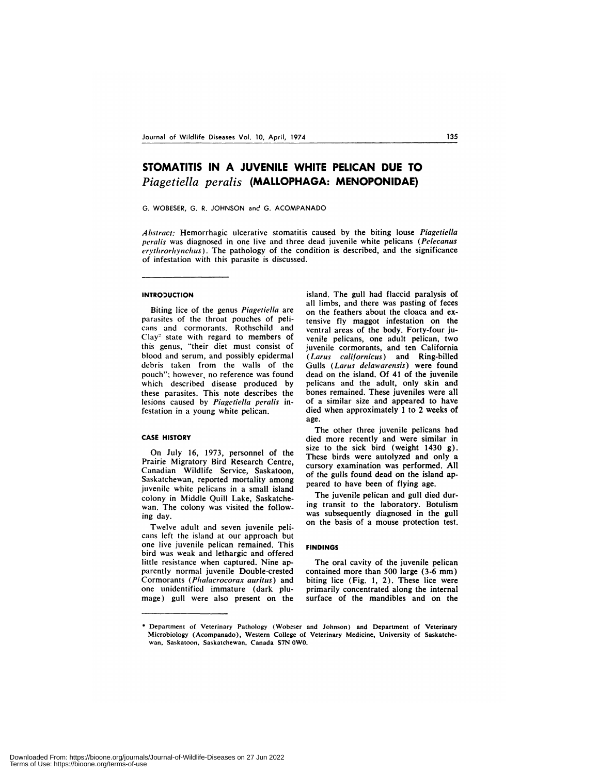# **STOMATITIS IN A JUVENILE WHITE PELICAN DUE TO** *Piagetiella peralis* **(MALLOPHAGA: MENOPONIDAE)**

G. WOBESER, G. R. JOHNSON and G. ACOMPANADO

Abstract: Hemorrhagic ulcerative stomatitis caused by the biting louse Piagetiella *peralis* was diagnosed in one live and three dead juvenile white pelicans *(Pelecanus erythrorhynchus).* The pathology of the condition is described, and the significance of infestation with this parasite is discussed.

## INTRODUCTION

Biting lice of the genus *Piagetiella* are parasites of the throat pouches of peli cans and cormorants. Rothschild and Clay' state with regard to members of this genus, "their diet must consist of blood and serum, and possibly epidermal debris taken from the walls of the pouch"; however, no reference was found which described disease produced by these parasites. This note describes the lesions caused by Piagetiella peralis infestation in a young white pelican.

#### **CASE HISTORY**

On July 16, 1973, personnel of the Prairie Migratory Bird Research Centre, Canadian Wildlife Service, Saskatoon, Saskatchewan, reported mortality among juvenile white pelicans in a small island colony in Middle Quill Lake, Saskatche wan, The colony was visited the following day.

Twelve adult and seven juvenile peli cans left the island at our approach but one live juvenile pelican remained. This bird was weak and lethargic and offered little resistance when captured. Nine apparently normal juvenile Double-crested Cormorants *(Plialacrocorax auritus)* and one unidentified immature (dark plumage) gull were also present on the island. The gull had flaccid paralysis of all limbs, and there was pasting of feces on the feathers about the cloaca and extensive fly maggot infestation on the ventral areas of the body. Forty-four juveni!e pelicans, one adult pelican, two juvenile cormorants, and ten California *(Larus californicus)* and Ring-billed Gulls *(Larus delawarensis)* were found dead on the island. Of 41 of the juvenile pelicans and the adult, only skin and bones remained, These juveniles were all of a similar size and appeared to have died when approximately 1 to 2 weeks of age.

The other three juvenile pelicans had died more recently and were similar in size to the sick bird (weight 1430 g). These birds were autolyzed and only a cursory examination was performed. All of the gulls found dead on the island appeared to have been of flying age.

The juvenile pelican and gull died during transit to the laboratory. Botulism was subsequently diagnosed in the gull on the basis of a mouse protection test.

### **FINDINGS**

The oral cavity of the juvenile pelican contained more than 500 large (3-6 mm) biting lice (Fig. 1, 2). These lice were primarily concentrated along the internal surface of the mandibles and on the

<sup>\*</sup> Department of Veterinary Pathology (Wobeser and Johnson) and Department of Veterinary Microbiology (Acompanado), Western College of Veterinary Medicine, University of Saskatche wan, Saskatoon, Saskatchewan, Canada S7N OWO.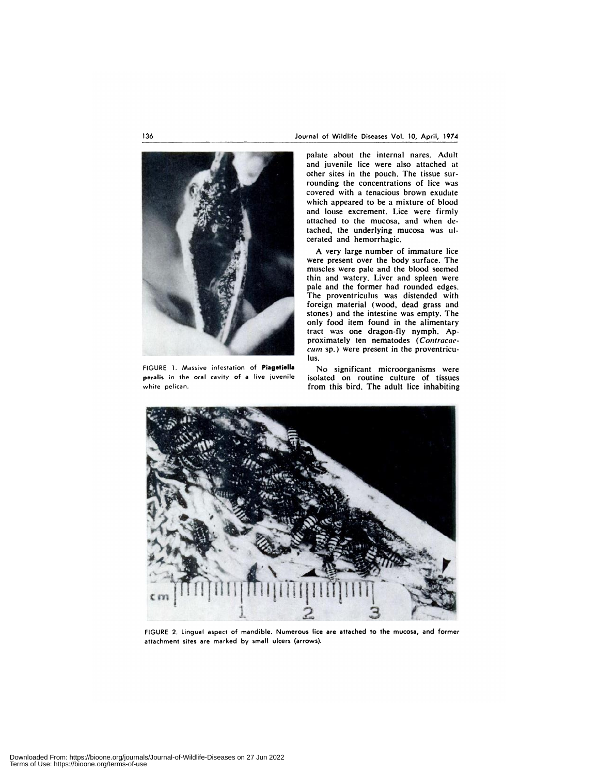

FIGURE 1. Massive infestation of Piagetiella No significant microorganisms were **peralis** in the oral cavity of a live juvenile isolated on routine culture of tissues

palate about the internal nares. Adult and juvenile lice were also attached at other sites in the pouch. The tissue surrounding the concentrations of lice was covered with a tenacious brown exudate which appeared to be a mixture of blood and louse excrement. Lice were firmly attached to the mucosa, and when detached, the underlying mucosa was ulcerated and hemorrhagic.

A very large number of immature lice were present over the body surface. The muscles were pale and the blood seemed thin and watery. Liver and spleen were pale and the former had rounded edges. The proventriculus was distended with foreign material (wood, dead grass and stones) and the intestine was empty. The only food item found in the alimentary tract was one dragon-fly nymph. **Ap**proximately ten nematodes *(Contracae cum* sp.) were present in the proventriculus.

white pelican. The same pelican of the state of the state of the state in this bird. The adult lice inhabiting



FIGURE 2. Lingual aspect of mandible. Numerous lice are attached to the mucosa, and former attachment sites are marked by small ulcers (arrows).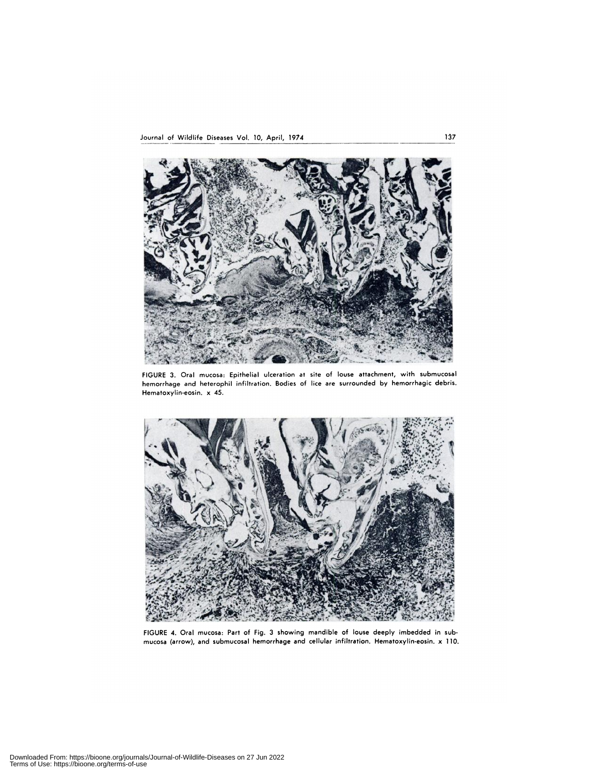

FIGURE 3. Oral mucosa: Epithelial ulceration at site of louse attachment, with submucosal hemorrhage and heterophil infiltration. Bodies of lice are surrounded by hemorrhagic debris. Hematoxylin-eosin. x 45.



FIGURE 4. Oral mucosa: Part of Fig. 3 showing mandible of louse deeply imbedded in sub mucosa (arrow), and submucosal hemorrhage and cellular infiltration. Hematoxylin.eosin. x 110.